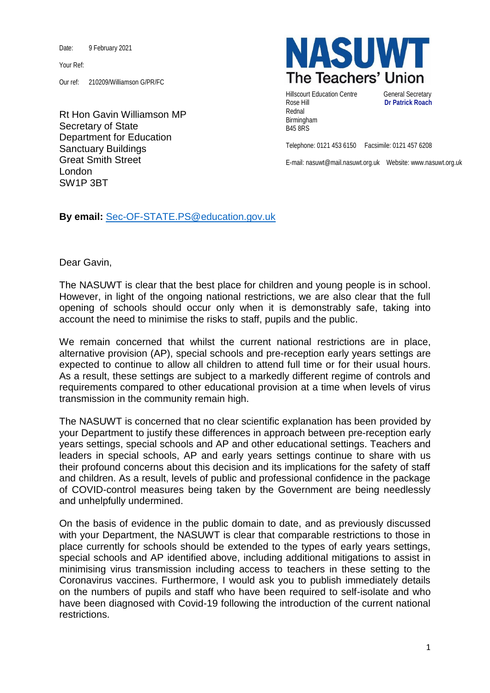Date: 9 February 2021

Your Ref:

Our ref: 210209/Williamson G/PR/FC

Rt Hon Gavin Williamson MP Secretary of State Department for Education Sanctuary Buildings Great Smith Street London SW1P 3BT



Hillscourt Education Centre **General Secretary** Rose Hill **Dr Patrick Roach** Rednal Birmingham B45 8RS

Telephone: 0121 453 6150 Facsimile: 0121 457 6208

E-mail: nasuwt@mail.nasuwt.org.uk Website: www.nasuwt.org.uk

**By email:** [Sec-OF-STATE.PS@education.gov.uk](mailto:Sec-OF-STATE.PS@education.gov.uk)

Dear Gavin,

The NASUWT is clear that the best place for children and young people is in school. However, in light of the ongoing national restrictions, we are also clear that the full opening of schools should occur only when it is demonstrably safe, taking into account the need to minimise the risks to staff, pupils and the public.

We remain concerned that whilst the current national restrictions are in place, alternative provision (AP), special schools and pre-reception early years settings are expected to continue to allow all children to attend full time or for their usual hours. As a result, these settings are subject to a markedly different regime of controls and requirements compared to other educational provision at a time when levels of virus transmission in the community remain high.

The NASUWT is concerned that no clear scientific explanation has been provided by your Department to justify these differences in approach between pre-reception early years settings, special schools and AP and other educational settings. Teachers and leaders in special schools, AP and early years settings continue to share with us their profound concerns about this decision and its implications for the safety of staff and children. As a result, levels of public and professional confidence in the package of COVID-control measures being taken by the Government are being needlessly and unhelpfully undermined.

On the basis of evidence in the public domain to date, and as previously discussed with your Department, the NASUWT is clear that comparable restrictions to those in place currently for schools should be extended to the types of early years settings, special schools and AP identified above, including additional mitigations to assist in minimising virus transmission including access to teachers in these setting to the Coronavirus vaccines. Furthermore, I would ask you to publish immediately details on the numbers of pupils and staff who have been required to self-isolate and who have been diagnosed with Covid-19 following the introduction of the current national restrictions.